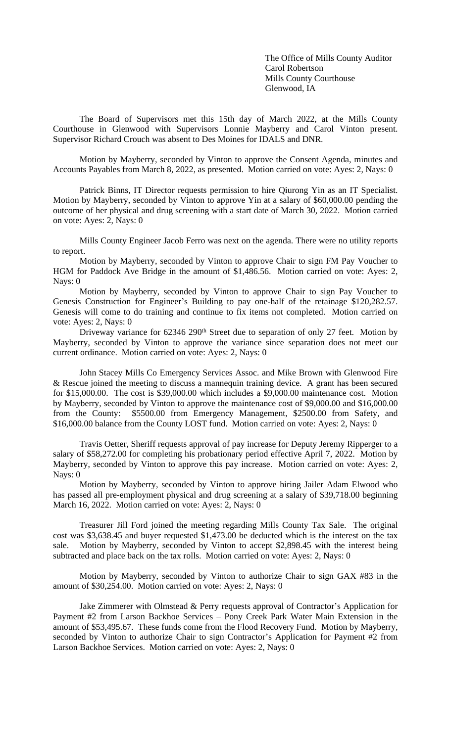The Office of Mills County Auditor Carol Robertson Mills County Courthouse Glenwood, IA

The Board of Supervisors met this 15th day of March 2022, at the Mills County Courthouse in Glenwood with Supervisors Lonnie Mayberry and Carol Vinton present. Supervisor Richard Crouch was absent to Des Moines for IDALS and DNR.

Motion by Mayberry, seconded by Vinton to approve the Consent Agenda, minutes and Accounts Payables from March 8, 2022, as presented. Motion carried on vote: Ayes: 2, Nays: 0

Patrick Binns, IT Director requests permission to hire Qiurong Yin as an IT Specialist. Motion by Mayberry, seconded by Vinton to approve Yin at a salary of \$60,000.00 pending the outcome of her physical and drug screening with a start date of March 30, 2022. Motion carried on vote: Ayes: 2, Nays: 0

Mills County Engineer Jacob Ferro was next on the agenda. There were no utility reports to report.

Motion by Mayberry, seconded by Vinton to approve Chair to sign FM Pay Voucher to HGM for Paddock Ave Bridge in the amount of \$1,486.56. Motion carried on vote: Ayes: 2, Nays: 0

Motion by Mayberry, seconded by Vinton to approve Chair to sign Pay Voucher to Genesis Construction for Engineer's Building to pay one-half of the retainage \$120,282.57. Genesis will come to do training and continue to fix items not completed. Motion carried on vote: Ayes: 2, Nays: 0

Driveway variance for 62346 290<sup>th</sup> Street due to separation of only 27 feet. Motion by Mayberry, seconded by Vinton to approve the variance since separation does not meet our current ordinance. Motion carried on vote: Ayes: 2, Nays: 0

John Stacey Mills Co Emergency Services Assoc. and Mike Brown with Glenwood Fire & Rescue joined the meeting to discuss a mannequin training device. A grant has been secured for \$15,000.00. The cost is \$39,000.00 which includes a \$9,000.00 maintenance cost. Motion by Mayberry, seconded by Vinton to approve the maintenance cost of \$9,000.00 and \$16,000.00 from the County: \$5500.00 from Emergency Management, \$2500.00 from Safety, and \$16,000.00 balance from the County LOST fund. Motion carried on vote: Ayes: 2, Nays: 0

Travis Oetter, Sheriff requests approval of pay increase for Deputy Jeremy Ripperger to a salary of \$58,272.00 for completing his probationary period effective April 7, 2022. Motion by Mayberry, seconded by Vinton to approve this pay increase. Motion carried on vote: Ayes: 2, Nays: 0

Motion by Mayberry, seconded by Vinton to approve hiring Jailer Adam Elwood who has passed all pre-employment physical and drug screening at a salary of \$39,718.00 beginning March 16, 2022. Motion carried on vote: Ayes: 2, Nays: 0

Treasurer Jill Ford joined the meeting regarding Mills County Tax Sale. The original cost was \$3,638.45 and buyer requested \$1,473.00 be deducted which is the interest on the tax sale. Motion by Mayberry, seconded by Vinton to accept \$2,898.45 with the interest being subtracted and place back on the tax rolls. Motion carried on vote: Ayes: 2, Nays: 0

Motion by Mayberry, seconded by Vinton to authorize Chair to sign GAX #83 in the amount of \$30,254.00. Motion carried on vote: Ayes: 2, Nays: 0

Jake Zimmerer with Olmstead & Perry requests approval of Contractor's Application for Payment #2 from Larson Backhoe Services – Pony Creek Park Water Main Extension in the amount of \$53,495.67. These funds come from the Flood Recovery Fund. Motion by Mayberry, seconded by Vinton to authorize Chair to sign Contractor's Application for Payment #2 from Larson Backhoe Services. Motion carried on vote: Ayes: 2, Nays: 0